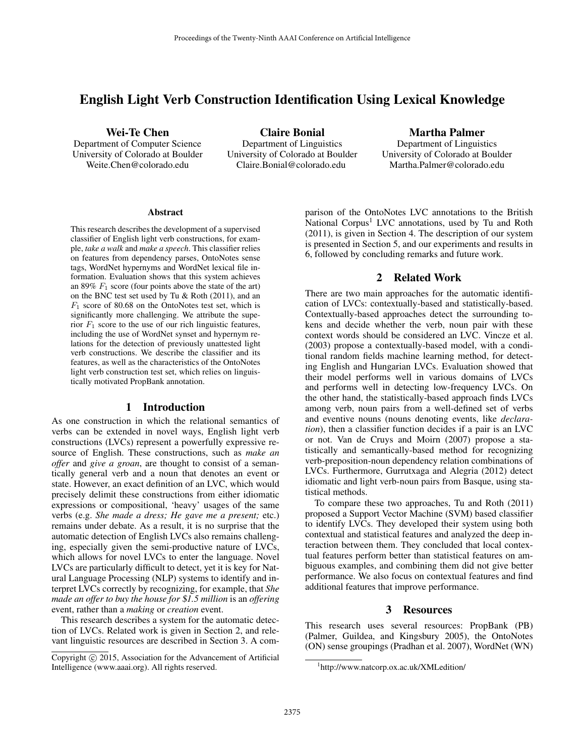# English Light Verb Construction Identification Using Lexical Knowledge

Wei-Te Chen

Department of Computer Science University of Colorado at Boulder Weite.Chen@colorado.edu

Claire Bonial Department of Linguistics University of Colorado at Boulder Claire.Bonial@colorado.edu

Martha Palmer Department of Linguistics University of Colorado at Boulder Martha.Palmer@colorado.edu

#### Abstract

This research describes the development of a supervised classifier of English light verb constructions, for example, *take a walk* and *make a speech*. This classifier relies on features from dependency parses, OntoNotes sense tags, WordNet hypernyms and WordNet lexical file information. Evaluation shows that this system achieves an 89%  $F_1$  score (four points above the state of the art) on the BNC test set used by Tu & Roth (2011), and an  $F_1$  score of 80.68 on the OntoNotes test set, which is significantly more challenging. We attribute the superior  $F_1$  score to the use of our rich linguistic features, including the use of WordNet synset and hypernym relations for the detection of previously unattested light verb constructions. We describe the classifier and its features, as well as the characteristics of the OntoNotes light verb construction test set, which relies on linguistically motivated PropBank annotation.

#### 1 Introduction

As one construction in which the relational semantics of verbs can be extended in novel ways, English light verb constructions (LVCs) represent a powerfully expressive resource of English. These constructions, such as *make an offer* and *give a groan*, are thought to consist of a semantically general verb and a noun that denotes an event or state. However, an exact definition of an LVC, which would precisely delimit these constructions from either idiomatic expressions or compositional, 'heavy' usages of the same verbs (e.g. *She made a dress; He gave me a present;* etc.) remains under debate. As a result, it is no surprise that the automatic detection of English LVCs also remains challenging, especially given the semi-productive nature of LVCs, which allows for novel LVCs to enter the language. Novel LVCs are particularly difficult to detect, yet it is key for Natural Language Processing (NLP) systems to identify and interpret LVCs correctly by recognizing, for example, that *She made an offer to buy the house for* \$*1.5 million* is an *offering* event, rather than a *making* or *creation* event.

This research describes a system for the automatic detection of LVCs. Related work is given in Section 2, and relevant linguistic resources are described in Section 3. A com-

parison of the OntoNotes LVC annotations to the British National Corpus<sup>1</sup> LVC annotations, used by Tu and Roth (2011), is given in Section 4. The description of our system is presented in Section 5, and our experiments and results in 6, followed by concluding remarks and future work.

## 2 Related Work

There are two main approaches for the automatic identification of LVCs: contextually-based and statistically-based. Contextually-based approaches detect the surrounding tokens and decide whether the verb, noun pair with these context words should be considered an LVC. Vincze et al. (2003) propose a contextually-based model, with a conditional random fields machine learning method, for detecting English and Hungarian LVCs. Evaluation showed that their model performs well in various domains of LVCs and performs well in detecting low-frequency LVCs. On the other hand, the statistically-based approach finds LVCs among verb, noun pairs from a well-defined set of verbs and eventive nouns (nouns denoting events, like *declaration*), then a classifier function decides if a pair is an LVC or not. Van de Cruys and Moirn (2007) propose a statistically and semantically-based method for recognizing verb-preposition-noun dependency relation combinations of LVCs. Furthermore, Gurrutxaga and Alegria (2012) detect idiomatic and light verb-noun pairs from Basque, using statistical methods.

To compare these two approaches, Tu and Roth (2011) proposed a Support Vector Machine (SVM) based classifier to identify LVCs. They developed their system using both contextual and statistical features and analyzed the deep interaction between them. They concluded that local contextual features perform better than statistical features on ambiguous examples, and combining them did not give better performance. We also focus on contextual features and find additional features that improve performance.

#### 3 Resources

This research uses several resources: PropBank (PB) (Palmer, Guildea, and Kingsbury 2005), the OntoNotes (ON) sense groupings (Pradhan et al. 2007), WordNet (WN)

Copyright (c) 2015, Association for the Advancement of Artificial Intelligence (www.aaai.org). All rights reserved.

<sup>1</sup> http://www.natcorp.ox.ac.uk/XMLedition/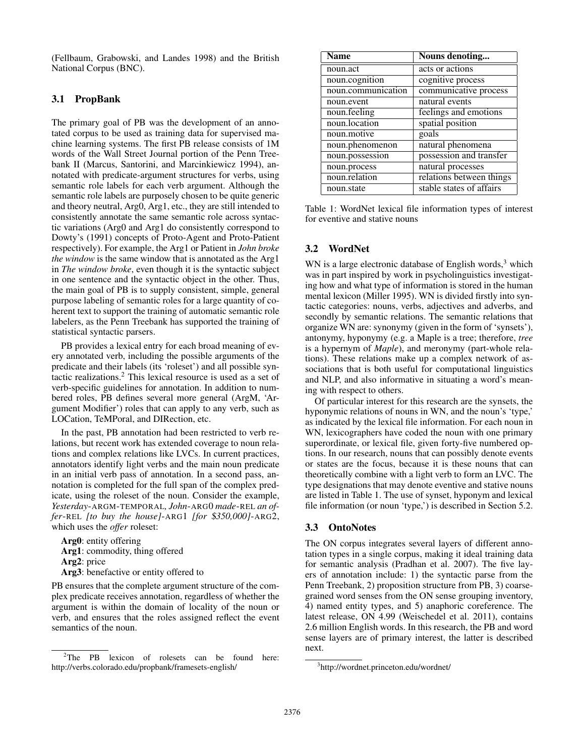(Fellbaum, Grabowski, and Landes 1998) and the British National Corpus (BNC).

#### 3.1 PropBank

The primary goal of PB was the development of an annotated corpus to be used as training data for supervised machine learning systems. The first PB release consists of 1M words of the Wall Street Journal portion of the Penn Treebank II (Marcus, Santorini, and Marcinkiewicz 1994), annotated with predicate-argument structures for verbs, using semantic role labels for each verb argument. Although the semantic role labels are purposely chosen to be quite generic and theory neutral, Arg0, Arg1, etc., they are still intended to consistently annotate the same semantic role across syntactic variations (Arg0 and Arg1 do consistently correspond to Dowty's (1991) concepts of Proto-Agent and Proto-Patient respectively). For example, the Arg1 or Patient in *John broke the window* is the same window that is annotated as the Arg1 in *The window broke*, even though it is the syntactic subject in one sentence and the syntactic object in the other. Thus, the main goal of PB is to supply consistent, simple, general purpose labeling of semantic roles for a large quantity of coherent text to support the training of automatic semantic role labelers, as the Penn Treebank has supported the training of statistical syntactic parsers.

PB provides a lexical entry for each broad meaning of every annotated verb, including the possible arguments of the predicate and their labels (its 'roleset') and all possible syntactic realizations.<sup>2</sup> This lexical resource is used as a set of verb-specific guidelines for annotation. In addition to numbered roles, PB defines several more general (ArgM, 'Argument Modifier') roles that can apply to any verb, such as LOCation, TeMPoral, and DIRection, etc.

In the past, PB annotation had been restricted to verb relations, but recent work has extended coverage to noun relations and complex relations like LVCs. In current practices, annotators identify light verbs and the main noun predicate in an initial verb pass of annotation. In a second pass, annotation is completed for the full span of the complex predicate, using the roleset of the noun. Consider the example, *Yesterday*-ARGM-TEMPORAL*, John*-ARG0 *made*-REL *an offer*-REL *[to buy the house]*-ARG1 *[for* \$*350,000]*-ARG2, which uses the *offer* roleset:

Arg0: entity offering Arg1: commodity, thing offered Arg2: price Arg3: benefactive or entity offered to

PB ensures that the complete argument structure of the complex predicate receives annotation, regardless of whether the argument is within the domain of locality of the noun or verb, and ensures that the roles assigned reflect the event semantics of the noun.

| <b>Name</b>        | Nouns denoting           |
|--------------------|--------------------------|
| noun.act           | acts or actions          |
| noun.cognition     | cognitive process        |
| noun.communication | communicative process    |
| noun.event         | natural events           |
| noun.feeling       | feelings and emotions    |
| noun.location      | spatial position         |
| noun.motive        | goals                    |
| noun.phenomenon    | natural phenomena        |
| noun.possession    | possession and transfer  |
| noun.process       | natural processes        |
| noun.relation      | relations between things |
| noun.state         | stable states of affairs |

Table 1: WordNet lexical file information types of interest for eventive and stative nouns

#### 3.2 WordNet

WN is a large electronic database of English words, $3$  which was in part inspired by work in psycholinguistics investigating how and what type of information is stored in the human mental lexicon (Miller 1995). WN is divided firstly into syntactic categories: nouns, verbs, adjectives and adverbs, and secondly by semantic relations. The semantic relations that organize WN are: synonymy (given in the form of 'synsets'), antonymy, hyponymy (e.g. a Maple is a tree; therefore, *tree* is a hypernym of *Maple*), and meronymy (part-whole relations). These relations make up a complex network of associations that is both useful for computational linguistics and NLP, and also informative in situating a word's meaning with respect to others.

Of particular interest for this research are the synsets, the hyponymic relations of nouns in WN, and the noun's 'type,' as indicated by the lexical file information. For each noun in WN, lexicographers have coded the noun with one primary superordinate, or lexical file, given forty-five numbered options. In our research, nouns that can possibly denote events or states are the focus, because it is these nouns that can theoretically combine with a light verb to form an LVC. The type designations that may denote eventive and stative nouns are listed in Table 1. The use of synset, hyponym and lexical file information (or noun 'type,') is described in Section 5.2.

#### 3.3 OntoNotes

The ON corpus integrates several layers of different annotation types in a single corpus, making it ideal training data for semantic analysis (Pradhan et al. 2007). The five layers of annotation include: 1) the syntactic parse from the Penn Treebank, 2) proposition structure from PB, 3) coarsegrained word senses from the ON sense grouping inventory, 4) named entity types, and 5) anaphoric coreference. The latest release, ON 4.99 (Weischedel et al. 2011), contains 2.6 million English words. In this research, the PB and word sense layers are of primary interest, the latter is described next.

<sup>&</sup>lt;sup>2</sup>The PB lexicon of rolesets can be found here: http://verbs.colorado.edu/propbank/framesets-english/

<sup>3</sup> http://wordnet.princeton.edu/wordnet/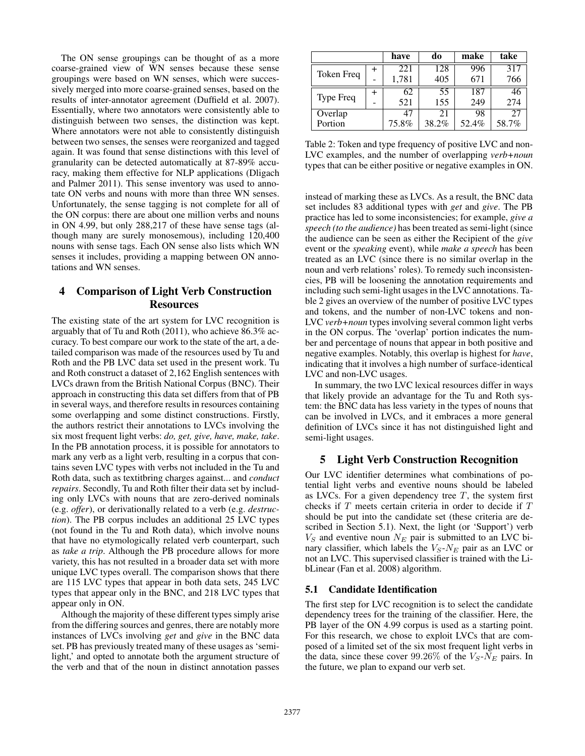The ON sense groupings can be thought of as a more coarse-grained view of WN senses because these sense groupings were based on WN senses, which were successively merged into more coarse-grained senses, based on the results of inter-annotator agreement (Duffield et al. 2007). Essentially, where two annotators were consistently able to distinguish between two senses, the distinction was kept. Where annotators were not able to consistently distinguish between two senses, the senses were reorganized and tagged again. It was found that sense distinctions with this level of granularity can be detected automatically at 87-89% accuracy, making them effective for NLP applications (Dligach and Palmer 2011). This sense inventory was used to annotate ON verbs and nouns with more than three WN senses. Unfortunately, the sense tagging is not complete for all of the ON corpus: there are about one million verbs and nouns in ON 4.99, but only 288,217 of these have sense tags (although many are surely monosemous), including 120,400 nouns with sense tags. Each ON sense also lists which WN senses it includes, providing a mapping between ON annotations and WN senses.

# 4 Comparison of Light Verb Construction **Resources**

The existing state of the art system for LVC recognition is arguably that of Tu and Roth (2011), who achieve 86.3% accuracy. To best compare our work to the state of the art, a detailed comparison was made of the resources used by Tu and Roth and the PB LVC data set used in the present work. Tu and Roth construct a dataset of 2,162 English sentences with LVCs drawn from the British National Corpus (BNC). Their approach in constructing this data set differs from that of PB in several ways, and therefore results in resources containing some overlapping and some distinct constructions. Firstly, the authors restrict their annotations to LVCs involving the six most frequent light verbs: *do, get, give, have, make, take*. In the PB annotation process, it is possible for annotators to mark any verb as a light verb, resulting in a corpus that contains seven LVC types with verbs not included in the Tu and Roth data, such as textitbring charges against... and *conduct repairs*. Secondly, Tu and Roth filter their data set by including only LVCs with nouns that are zero-derived nominals (e.g. *offer*), or derivationally related to a verb (e.g. *destruction*). The PB corpus includes an additional 25 LVC types (not found in the Tu and Roth data), which involve nouns that have no etymologically related verb counterpart, such as *take a trip*. Although the PB procedure allows for more variety, this has not resulted in a broader data set with more unique LVC types overall. The comparison shows that there are 115 LVC types that appear in both data sets, 245 LVC types that appear only in the BNC, and 218 LVC types that appear only in ON.

Although the majority of these different types simply arise from the differing sources and genres, there are notably more instances of LVCs involving *get* and *give* in the BNC data set. PB has previously treated many of these usages as 'semilight,' and opted to annotate both the argument structure of the verb and that of the noun in distinct annotation passes

|                   |                 | have  | do    | make  | take  |
|-------------------|-----------------|-------|-------|-------|-------|
|                   | $^{\mathrm{+}}$ | 22.1  | 128   | 996   | 317   |
| <b>Token Freq</b> | -               | 1,781 | 405   | 671   | 766   |
|                   | ┿               | 62    | 55    | 187   | 46    |
| <b>Type Freq</b>  |                 | 521   | 155   | 249   | 274   |
| Overlap           |                 | 47    | 21    | 98    | 27    |
| Portion           |                 | 75.8% | 38.2% | 52.4% | 58.7% |

Table 2: Token and type frequency of positive LVC and non-LVC examples, and the number of overlapping *verb+noun* types that can be either positive or negative examples in ON.

instead of marking these as LVCs. As a result, the BNC data set includes 83 additional types with *get* and *give*. The PB practice has led to some inconsistencies; for example, *give a speech (to the audience)* has been treated as semi-light (since the audience can be seen as either the Recipient of the *give* event or the *speaking* event), while *make a speech* has been treated as an LVC (since there is no similar overlap in the noun and verb relations' roles). To remedy such inconsistencies, PB will be loosening the annotation requirements and including such semi-light usages in the LVC annotations. Table 2 gives an overview of the number of positive LVC types and tokens, and the number of non-LVC tokens and non-LVC *verb+noun* types involving several common light verbs in the ON corpus. The 'overlap' portion indicates the number and percentage of nouns that appear in both positive and negative examples. Notably, this overlap is highest for *have*, indicating that it involves a high number of surface-identical LVC and non-LVC usages.

In summary, the two LVC lexical resources differ in ways that likely provide an advantage for the Tu and Roth system: the BNC data has less variety in the types of nouns that can be involved in LVCs, and it embraces a more general definition of LVCs since it has not distinguished light and semi-light usages.

## 5 Light Verb Construction Recognition

Our LVC identifier determines what combinations of potential light verbs and eventive nouns should be labeled as LVCs. For a given dependency tree  $T$ , the system first checks if T meets certain criteria in order to decide if T should be put into the candidate set (these criteria are described in Section 5.1). Next, the light (or 'Support') verb  $V<sub>S</sub>$  and eventive noun  $N<sub>E</sub>$  pair is submitted to an LVC binary classifier, which labels the  $V_S$ - $N_E$  pair as an LVC or not an LVC. This supervised classifier is trained with the LibLinear (Fan et al. 2008) algorithm.

## 5.1 Candidate Identification

The first step for LVC recognition is to select the candidate dependency trees for the training of the classifier. Here, the PB layer of the ON 4.99 corpus is used as a starting point. For this research, we chose to exploit LVCs that are composed of a limited set of the six most frequent light verbs in the data, since these cover 99.26% of the  $V_S-N_E$  pairs. In the future, we plan to expand our verb set.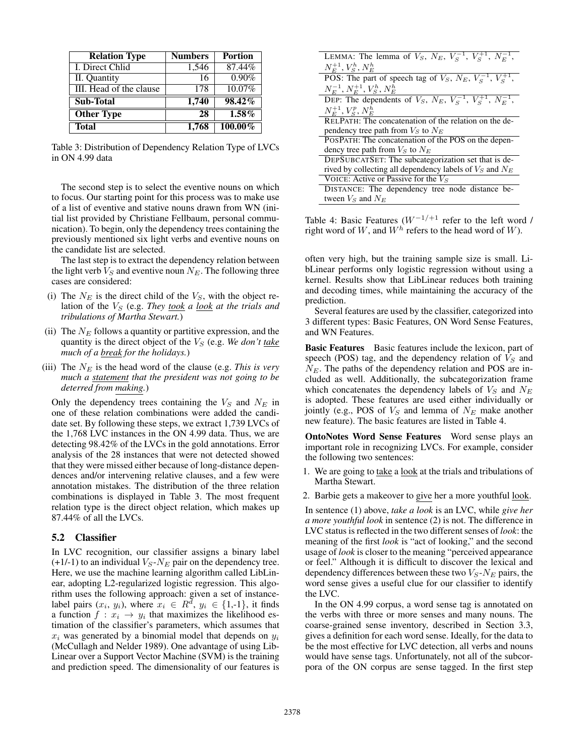| <b>Relation Type</b>    | <b>Numbers</b> | <b>Portion</b> |
|-------------------------|----------------|----------------|
| <b>I.</b> Direct Chlid  | 1,546          | 87.44%         |
| II. Quantity            | 16             | 0.90%          |
| III. Head of the clause | 178            | 10.07%         |
| <b>Sub-Total</b>        | 1,740          | 98.42%         |
| <b>Other Type</b>       | 28             | $1.58\%$       |
| <b>Total</b>            | 1,768          | $100.00\%$     |

Table 3: Distribution of Dependency Relation Type of LVCs in ON 4.99 data

The second step is to select the eventive nouns on which to focus. Our starting point for this process was to make use of a list of eventive and stative nouns drawn from WN (initial list provided by Christiane Fellbaum, personal communication). To begin, only the dependency trees containing the previously mentioned six light verbs and eventive nouns on the candidate list are selected.

The last step is to extract the dependency relation between the light verb  $V_S$  and eventive noun  $N_E$ . The following three cases are considered:

- (i) The  $N_E$  is the direct child of the  $V_S$ , with the object relation of the  $V_S$  (e.g. *They took a look at the trials and tribulations of Martha Stewart.*)
- (ii) The  $N_E$  follows a quantity or partitive expression, and the quantity is the direct object of the  $V<sub>S</sub>$  (e.g. *We don't take much of a break for the holidays.*)
- (iii) The  $N_E$  is the head word of the clause (e.g. *This is very much a statement that the president was not going to be deterred from making.*)

Only the dependency trees containing the  $V_S$  and  $N_E$  in one of these relation combinations were added the candidate set. By following these steps, we extract 1,739 LVCs of the 1,768 LVC instances in the ON 4.99 data. Thus, we are detecting 98.42% of the LVCs in the gold annotations. Error analysis of the 28 instances that were not detected showed that they were missed either because of long-distance dependences and/or intervening relative clauses, and a few were annotation mistakes. The distribution of the three relation combinations is displayed in Table 3. The most frequent relation type is the direct object relation, which makes up 87.44% of all the LVCs.

#### 5.2 Classifier

In LVC recognition, our classifier assigns a binary label  $(+1/-1)$  to an individual  $V_S-N_E$  pair on the dependency tree. Here, we use the machine learning algorithm called LibLinear, adopting L2-regularized logistic regression. This algorithm uses the following approach: given a set of instancelabel pairs  $(x_i, y_i)$ , where  $x_i \in R^d$ ,  $y_i \in \{1, -1\}$ , it finds a function  $f: x_i \to y_i$  that maximizes the likelihood estimation of the classifier's parameters, which assumes that  $x_i$  was generated by a binomial model that depends on  $y_i$ (McCullagh and Nelder 1989). One advantage of using Lib-Linear over a Support Vector Machine (SVM) is the training and prediction speed. The dimensionality of our features is

| LEMMA: The lemma of $V_S$ , $N_E$ , $V_S^{-1}$ , $V_S^{+1}$ , $N_E^{-1}$ ,    |
|-------------------------------------------------------------------------------|
| $N_{E}^{\pm 1}, V_{S}^{h}, N_{E}^{h}$                                         |
| POS: The part of speech tag of $V_S$ , $N_E$ , $V_S^{-1}$ , $V_S^{+1}$ ,      |
| $N_E^{-1}, N_E^{+1}, V_S^h, N_E^h$                                            |
| DEP: The dependents of $V_S$ , $N_E$ , $V_S^{-1}$ , $V_S^{+1}$ , $N_E^{-1}$ , |
| $N_{E}^{+1}, V_{S}^{p}, N_{E}^{h}$                                            |
| RELPATH: The concatenation of the relation on the de-                         |
| pendency tree path from $V_S$ to $N_E$                                        |
| POSPATH: The concatenation of the POS on the depen-                           |
| dency tree path from $V_S$ to $N_E$                                           |
| DEPSUBCATSET: The subcategorization set that is de-                           |
| rived by collecting all dependency labels of $V_S$ and $N_E$                  |
| VOICE: Active or Passive for the $V_s$                                        |
| DISTANCE: The dependency tree node distance be-                               |
| tween $V_s$ and $N_E$                                                         |

Table 4: Basic Features ( $W^{-1/+1}$  refer to the left word / right word of W, and  $W^h$  refers to the head word of W).

often very high, but the training sample size is small. LibLinear performs only logistic regression without using a kernel. Results show that LibLinear reduces both training and decoding times, while maintaining the accuracy of the prediction.

Several features are used by the classifier, categorized into 3 different types: Basic Features, ON Word Sense Features, and WN Features.

**Basic Features** Basic features include the lexicon, part of speech (POS) tag, and the dependency relation of  $V<sub>S</sub>$  and  $N_E$ . The paths of the dependency relation and POS are included as well. Additionally, the subcategorization frame which concatenates the dependency labels of  $V_S$  and  $N_E$ is adopted. These features are used either individually or jointly (e.g., POS of  $V<sub>S</sub>$  and lemma of  $N<sub>E</sub>$  make another new feature). The basic features are listed in Table 4.

OntoNotes Word Sense Features Word sense plays an important role in recognizing LVCs. For example, consider the following two sentences:

- 1. We are going to take a look at the trials and tribulations of Martha Stewart.
- 2. Barbie gets a makeover to give her a more youthful look.

In sentence (1) above, *take a look* is an LVC, while *give her a more youthful look* in sentence (2) is not. The difference in LVC status is reflected in the two different senses of *look*: the meaning of the first *look* is "act of looking," and the second usage of *look* is closer to the meaning "perceived appearance or feel." Although it is difficult to discover the lexical and dependency differences between these two  $V_S-N_E$  pairs, the word sense gives a useful clue for our classifier to identify the LVC.

In the ON 4.99 corpus, a word sense tag is annotated on the verbs with three or more senses and many nouns. The coarse-grained sense inventory, described in Section 3.3, gives a definition for each word sense. Ideally, for the data to be the most effective for LVC detection, all verbs and nouns would have sense tags. Unfortunately, not all of the subcorpora of the ON corpus are sense tagged. In the first step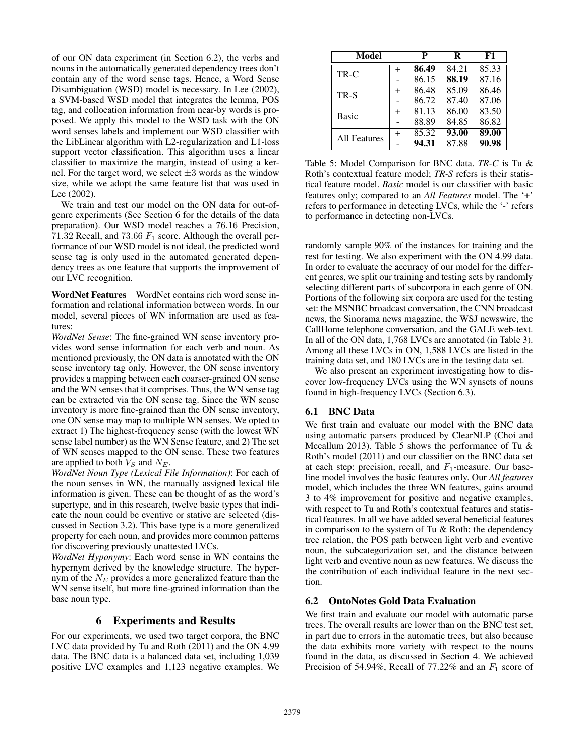of our ON data experiment (in Section 6.2), the verbs and nouns in the automatically generated dependency trees don't contain any of the word sense tags. Hence, a Word Sense Disambiguation (WSD) model is necessary. In Lee (2002), a SVM-based WSD model that integrates the lemma, POS tag, and collocation information from near-by words is proposed. We apply this model to the WSD task with the ON word senses labels and implement our WSD classifier with the LibLinear algorithm with L2-regularization and L1-loss support vector classification. This algorithm uses a linear classifier to maximize the margin, instead of using a kernel. For the target word, we select  $\pm 3$  words as the window size, while we adopt the same feature list that was used in Lee (2002).

We train and test our model on the ON data for out-ofgenre experiments (See Section 6 for the details of the data preparation). Our WSD model reaches a 76.16 Precision, 71.32 Recall, and 73.66  $F_1$  score. Although the overall performance of our WSD model is not ideal, the predicted word sense tag is only used in the automated generated dependency trees as one feature that supports the improvement of our LVC recognition.

WordNet Features WordNet contains rich word sense information and relational information between words. In our model, several pieces of WN information are used as features:

*WordNet Sense*: The fine-grained WN sense inventory provides word sense information for each verb and noun. As mentioned previously, the ON data is annotated with the ON sense inventory tag only. However, the ON sense inventory provides a mapping between each coarser-grained ON sense and the WN senses that it comprises. Thus, the WN sense tag can be extracted via the ON sense tag. Since the WN sense inventory is more fine-grained than the ON sense inventory, one ON sense may map to multiple WN senses. We opted to extract 1) The highest-frequency sense (with the lowest WN sense label number) as the WN Sense feature, and 2) The set of WN senses mapped to the ON sense. These two features are applied to both  $V_S$  and  $N_E$ .

*WordNet Noun Type (Lexical File Information)*: For each of the noun senses in WN, the manually assigned lexical file information is given. These can be thought of as the word's supertype, and in this research, twelve basic types that indicate the noun could be eventive or stative are selected (discussed in Section 3.2). This base type is a more generalized property for each noun, and provides more common patterns for discovering previously unattested LVCs.

*WordNet Hyponymy*: Each word sense in WN contains the hypernym derived by the knowledge structure. The hypernym of the  $N_E$  provides a more generalized feature than the WN sense itself, but more fine-grained information than the base noun type.

## 6 Experiments and Results

For our experiments, we used two target corpora, the BNC LVC data provided by Tu and Roth (2011) and the ON 4.99 data. The BNC data is a balanced data set, including 1,039 positive LVC examples and 1,123 negative examples. We

| Model        |              | Р     | $\bf{R}$ | F1    |
|--------------|--------------|-------|----------|-------|
| TR-C         | $\,{}^+$     | 86.49 | 84.21    | 85.33 |
|              |              | 86.15 | 88.19    | 87.16 |
| TR-S         | $^{+}$       | 86.48 | 85.09    | 86.46 |
|              |              | 86.72 | 87.40    | 87.06 |
| <b>Basic</b> | $\mathrm{+}$ | 81.13 | 86.00    | 83.50 |
|              |              | 88.89 | 84.85    | 86.82 |
| All Features | $\div$       | 85.32 | 93.00    | 89.00 |
|              |              | 94.31 | 87.88    | 90.98 |

Table 5: Model Comparison for BNC data. *TR-C* is Tu & Roth's contextual feature model; *TR-S* refers is their statistical feature model. *Basic* model is our classifier with basic features only; compared to an *All Features* model. The '+' refers to performance in detecting LVCs, while the '-' refers to performance in detecting non-LVCs.

randomly sample 90% of the instances for training and the rest for testing. We also experiment with the ON 4.99 data. In order to evaluate the accuracy of our model for the different genres, we split our training and testing sets by randomly selecting different parts of subcorpora in each genre of ON. Portions of the following six corpora are used for the testing set: the MSNBC broadcast conversation, the CNN broadcast news, the Sinorama news magazine, the WSJ newswire, the CallHome telephone conversation, and the GALE web-text. In all of the ON data, 1,768 LVCs are annotated (in Table 3). Among all these LVCs in ON, 1,588 LVCs are listed in the training data set, and 180 LVCs are in the testing data set.

We also present an experiment investigating how to discover low-frequency LVCs using the WN synsets of nouns found in high-frequency LVCs (Section 6.3).

## 6.1 BNC Data

We first train and evaluate our model with the BNC data using automatic parsers produced by ClearNLP (Choi and Mccallum 2013). Table 5 shows the performance of Tu  $\&$ Roth's model (2011) and our classifier on the BNC data set at each step: precision, recall, and  $F_1$ -measure. Our baseline model involves the basic features only. Our *All features* model, which includes the three WN features, gains around 3 to 4% improvement for positive and negative examples, with respect to Tu and Roth's contextual features and statistical features. In all we have added several beneficial features in comparison to the system of Tu  $&$  Roth: the dependency tree relation, the POS path between light verb and eventive noun, the subcategorization set, and the distance between light verb and eventive noun as new features. We discuss the the contribution of each individual feature in the next section.

## 6.2 OntoNotes Gold Data Evaluation

We first train and evaluate our model with automatic parse trees. The overall results are lower than on the BNC test set, in part due to errors in the automatic trees, but also because the data exhibits more variety with respect to the nouns found in the data, as discussed in Section 4. We achieved Precision of 54.94%, Recall of 77.22% and an  $F_1$  score of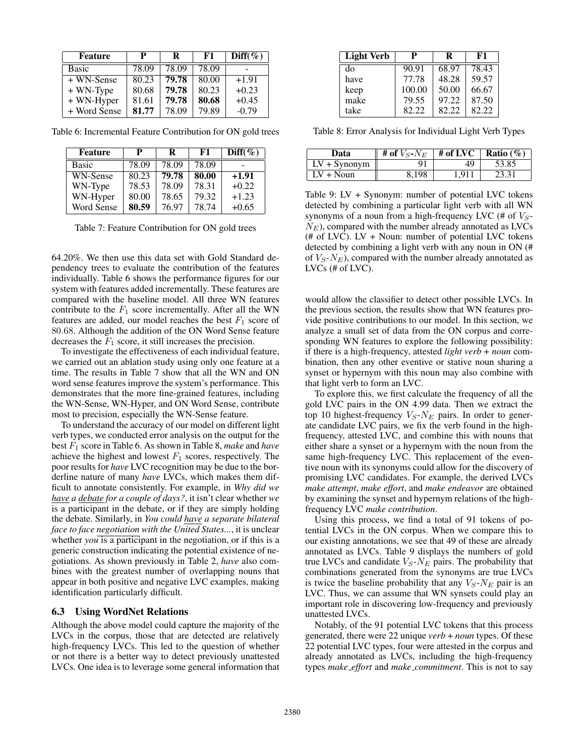| <b>Feature</b> | P     | R     | F1    | $Diff(\%)$ |
|----------------|-------|-------|-------|------------|
| <b>Basic</b>   | 78.09 | 78.09 | 78.09 |            |
| + WN-Sense     | 80.23 | 79.78 | 80.00 | $+1.91$    |
| $+$ WN-Type    | 80.68 | 79.78 | 80.23 | $+0.23$    |
| + WN-Hyper     | 81.61 | 79.78 | 80.68 | $+0.45$    |
| + Word Sense   | 81.77 | 78.09 | 79.89 | $-0.79$    |

Table 6: Incremental Feature Contribution for ON gold trees

| <b>Feature</b> | P     | R     | F1    | Diff( $\%$ ) |
|----------------|-------|-------|-------|--------------|
| <b>Basic</b>   | 78.09 | 78.09 | 78.09 |              |
| WN-Sense       | 80.23 | 79.78 | 80.00 | $+1.91$      |
| WN-Type        | 78.53 | 78.09 | 78.31 | $+0.22$      |
| WN-Hyper       | 80.00 | 78.65 | 79.32 | $+1.23$      |
| Word Sense     | 80.59 | 76.97 | 78.74 | $+0.65$      |

Table 7: Feature Contribution for ON gold trees

64.20%. We then use this data set with Gold Standard dependency trees to evaluate the contribution of the features individually. Table 6 shows the performance figures for our system with features added incrementally. These features are compared with the baseline model. All three WN features contribute to the  $F_1$  score incrementally. After all the WN features are added, our model reaches the best  $F_1$  score of 80.68. Although the addition of the ON Word Sense feature decreases the  $F_1$  score, it still increases the precision.

To investigate the effectiveness of each individual feature, we carried out an ablation study using only one feature at a time. The results in Table 7 show that all the WN and ON word sense features improve the system's performance. This demonstrates that the more fine-grained features, including the WN-Sense, WN-Hyper, and ON Word Sense, contribute most to precision, especially the WN-Sense feature.

To understand the accuracy of our model on different light verb types, we conducted error analysis on the output for the best F<sup>1</sup> score in Table 6. As shown in Table 8, *make* and *have* achieve the highest and lowest  $F_1$  scores, respectively. The poor results for *have* LVC recognition may be due to the borderline nature of many *have* LVCs, which makes them difficult to annotate consistently. For example, in *Why did we have a debate for a couple of days?*, it isn't clear whether *we* is a participant in the debate, or if they are simply holding the debate. Similarly, in *You could have a separate bilateral face to face negotiation with the United States...*, it is unclear whether *you* is a participant in the negotiation, or if this is a generic construction indicating the potential existence of negotiations. As shown previously in Table 2, *have* also combines with the greatest number of overlapping nouns that appear in both positive and negative LVC examples, making identification particularly difficult.

#### 6.3 Using WordNet Relations

Although the above model could capture the majority of the LVCs in the corpus, those that are detected are relatively high-frequency LVCs. This led to the question of whether or not there is a better way to detect previously unattested LVCs. One idea is to leverage some general information that

| <b>Light Verb</b> | р      | R     | F1    |
|-------------------|--------|-------|-------|
| do                | 90.91  | 68.97 | 78.43 |
| have              | 77.78  | 48.28 | 59.57 |
| keep              | 100.00 | 50.00 | 66.67 |
| make              | 79.55  | 97.22 | 87.50 |
| take              | 82.22  | 82.22 | 82.22 |

Table 8: Error Analysis for Individual Light Verb Types

| Data             | # of $V_S$ - $N_E$ | $\parallel$ # of LVC $\parallel$ Ratio (%) |       |
|------------------|--------------------|--------------------------------------------|-------|
| $ $ LV + Synonym |                    | 49                                         | 53.85 |
| $LV + Noun$      | 8.198              | -911                                       | 23.31 |

Table 9: LV + Synonym: number of potential LVC tokens detected by combining a particular light verb with all WN synonyms of a noun from a high-frequency LVC (# of  $V_s$ - $N_E$ ), compared with the number already annotated as LVCs (# of LVC). LV + Noun: number of potential LVC tokens detected by combining a light verb with any noun in ON (# of  $V_S-N_E$ ), compared with the number already annotated as LVCs (# of LVC).

would allow the classifier to detect other possible LVCs. In the previous section, the results show that WN features provide positive contributions to our model. In this section, we analyze a small set of data from the ON corpus and corresponding WN features to explore the following possibility: if there is a high-frequency, attested *light verb* + *noun* combination, then any other eventive or stative noun sharing a synset or hypernym with this noun may also combine with that light verb to form an LVC.

To explore this, we first calculate the frequency of all the gold LVC pairs in the ON 4.99 data. Then we extract the top 10 highest-frequency  $V_S$ - $N_E$  pairs. In order to generate candidate LVC pairs, we fix the verb found in the highfrequency, attested LVC, and combine this with nouns that either share a synset or a hypernym with the noun from the same high-frequency LVC. This replacement of the eventive noun with its synonyms could allow for the discovery of promising LVC candidates. For example, the derived LVCs *make attempt*, *make effort*, and *make endeavor* are obtained by examining the synset and hypernym relations of the highfrequency LVC *make contribution*.

Using this process, we find a total of 91 tokens of potential LVCs in the ON corpus. When we compare this to our existing annotations, we see that 49 of these are already annotated as LVCs. Table 9 displays the numbers of gold true LVCs and candidate  $V_S-N_E$  pairs. The probability that combinations generated from the synonyms are true LVCs is twice the baseline probability that any  $V_S-N_E$  pair is an LVC. Thus, we can assume that WN synsets could play an important role in discovering low-frequency and previously unattested LVCs.

Notably, of the 91 potential LVC tokens that this process generated, there were 22 unique *verb* + *noun* types. Of these 22 potential LVC types, four were attested in the corpus and already annotated as LVCs, including the high-frequency types *make effort* and *make commitment*. This is not to say